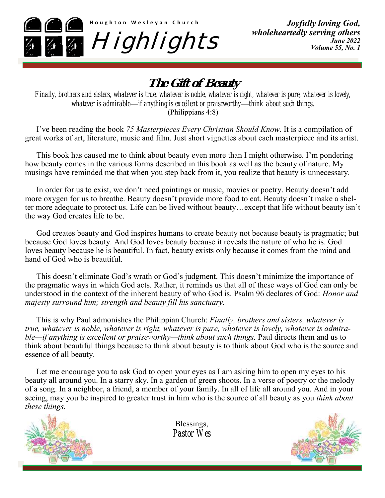

**The Gift of Beauty**

*Finally, brothers and sisters, whatever is true, whatever is noble, whatever is right, whatever is pure, whatever is lovely, whatever is admirable—if anything is excellent or praiseworthy—think about such things.* (Philippians 4:8)

I've been reading the book *75 Masterpieces Every Christian Should Know*. It is a compilation of great works of art, literature, music and film. Just short vignettes about each masterpiece and its artist.

This book has caused me to think about beauty even more than I might otherwise. I'm pondering how beauty comes in the various forms described in this book as well as the beauty of nature. My musings have reminded me that when you step back from it, you realize that beauty is unnecessary.

In order for us to exist, we don't need paintings or music, movies or poetry. Beauty doesn't add more oxygen for us to breathe. Beauty doesn't provide more food to eat. Beauty doesn't make a shelter more adequate to protect us. Life can be lived without beauty…except that life without beauty isn't the way God creates life to be.

God creates beauty and God inspires humans to create beauty not because beauty is pragmatic; but because God loves beauty. And God loves beauty because it reveals the nature of who he is. God loves beauty because he is beautiful. In fact, beauty exists only because it comes from the mind and hand of God who is beautiful.

This doesn't eliminate God's wrath or God's judgment. This doesn't minimize the importance of the pragmatic ways in which God acts. Rather, it reminds us that all of these ways of God can only be understood in the context of the inherent beauty of who God is. Psalm 96 declares of God: *Honor and majesty surround him; strength and beauty fill his sanctuary.*

This is why Paul admonishes the Philippian Church: *Finally, brothers and sisters, whatever is true, whatever is noble, whatever is right, whatever is pure, whatever is lovely, whatever is admirable—if anything is excellent or praiseworthy—think about such things.* Paul directs them and us to think about beautiful things because to think about beauty is to think about God who is the source and essence of all beauty.

Let me encourage you to ask God to open your eyes as I am asking him to open my eyes to his beauty all around you. In a starry sky. In a garden of green shoots. In a verse of poetry or the melody of a song. In a neighbor, a friend, a member of your family. In all of life all around you. And in your seeing, may you be inspired to greater trust in him who is the source of all beauty as you *think about these things.*



Blessings, *Pastor Wes*

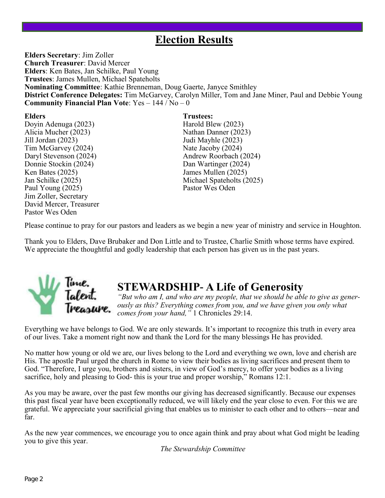## **Election Results**

**Elders Secretary**: Jim Zoller **Church Treasurer**: David Mercer **Elders**: Ken Bates, Jan Schilke, Paul Young **Trustees**: James Mullen, Michael Spateholts **Nominating Committee**: Kathie Brenneman, Doug Gaerte, Janyce Smithley **District Conference Delegates:** Tim McGarvey, Carolyn Miller, Tom and Jane Miner, Paul and Debbie Young **Community Financial Plan Vote**: Yes – 144 / No – 0

Doyin Adenuga (2023) Harold Blew (2023) Alicia Mucher (2023) Nathan Danner (2023) Jill Jordan (2023) Judi Mayhle (2023) Tim McGarvey (2024) Nate Jacoby (2024) Donnie Stockin (2024) Dan Wartinger (2024) Ken Bates (2025) James Mullen (2025) Paul Young (2025) Pastor Wes Oden Jim Zoller, Secretary David Mercer, Treasurer Pastor Wes Oden

**Elders Trustees:** Daryl Stevenson (2024) **Andrew Roorbach (2024)** Andrew Roorbach (2024) Jan Schilke (2025) Michael Spateholts (2025)

Please continue to pray for our pastors and leaders as we begin a new year of ministry and service in Houghton.

Thank you to Elders, Dave Brubaker and Don Little and to Trustee, Charlie Smith whose terms have expired. We appreciate the thoughtful and godly leadership that each person has given us in the past years.



## **STEWARDSHIP- A Life of Generosity**

*"But who am I, and who are my people, that we should be able to give as generously as this? Everything comes from you, and we have given you only what comes from your hand,"* 1 Chronicles 29:14.

Everything we have belongs to God. We are only stewards. It's important to recognize this truth in every area of our lives. Take a moment right now and thank the Lord for the many blessings He has provided.

No matter how young or old we are, our lives belong to the Lord and everything we own, love and cherish are His. The apostle Paul urged the church in Rome to view their bodies as living sacrifices and present them to God. "Therefore, I urge you, brothers and sisters, in view of God's mercy, to offer your bodies as a living sacrifice, holy and pleasing to God- this is your true and proper worship," Romans 12:1.

As you may be aware, over the past few months our giving has decreased significantly. Because our expenses this past fiscal year have been exceptionally reduced, we will likely end the year close to even. For this we are grateful. We appreciate your sacrificial giving that enables us to minister to each other and to others—near and far.

As the new year commences, we encourage you to once again think and pray about what God might be leading you to give this year.

*The Stewardship Committee*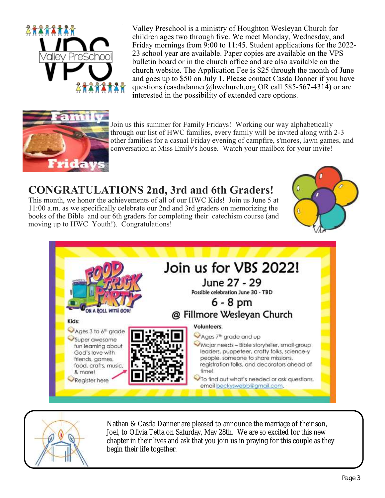

Valley Preschool is a ministry of Houghton Wesleyan Church for children ages two through five. We meet Monday, Wednesday, and Friday mornings from 9:00 to 11:45. Student applications for the 2022- 23 school year are available. Paper copies are available on the VPS bulletin board or in the church office and are also available on the church website. The Application Fee is \$25 through the month of June and goes up to \$50 on July 1. Please contact Casda Danner if you have questions (casdadanner@hwchurch.org OR call 585-567-4314) or are interested in the possibility of extended care options.

Join us this summer for Family Fridays! Working our way alphabetically through our list of HWC families, every family will be invited along with 2-3 other families for a casual Friday evening of campfire, s'mores, lawn games, and conversation at Miss Emily's house. Watch your mailbox for your invite!

## **CONGRATULATIONS 2nd, 3rd and 6th Graders!**

This month, we honor the achievements of all of our HWC Kids! Join us June 5 at 11:00 a.m. as we specifically celebrate our 2nd and 3rd graders on memorizing the books of the Bible and our 6th graders for completing their catechism course (and moving up to HWC Youth!). Congratulations!







Nathan & Casda Danner are pleased to announce the marriage of their son, Joel, to Olivia Tetta on Saturday, May 28th. We are so excited for this new chapter in their lives and ask that you join us in praying for this couple as they begin their life together.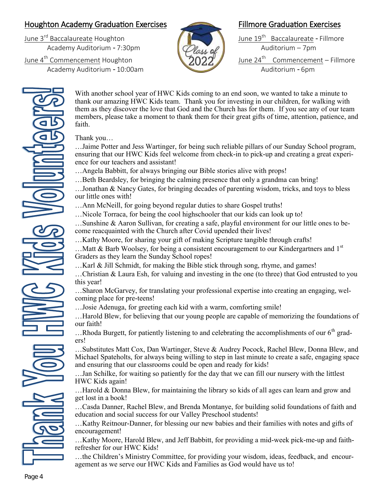## Houghton Academy Graduation Exercises

June 3<sup>rd</sup> Baccalaureate Houghton Academy Auditorium - 7:30pm

June 4<sup>th</sup> Commencement Houghton Academy Auditorium - 10:00am



## Fillmore Graduation Exercises

<u>June 19<sup>th</sup> Baccalaureate</u> - Fillmore Auditorium – 7pm <u>June 24<sup>th</sup> Commencement</u> – Fillmore Auditorium - 6pm

With another school year of HWC Kids coming to an end soon, we wanted to take a minute to thank our amazing HWC Kids team. Thank you for investing in our children, for walking with them as they discover the love that God and the Church has for them. If you see any of our team members, please take a moment to thank them for their great gifts of time, attention, patience, and faith.

### Thank you…

…Jaime Potter and Jess Wartinger, for being such reliable pillars of our Sunday School program, ensuring that our HWC Kids feel welcome from check-in to pick-up and creating a great experience for our teachers and assistant!

- …Angela Babbitt, for always bringing our Bible stories alive with props!
- …Beth Beardsley, for bringing the calming presence that only a grandma can bring!

…Jonathan & Nancy Gates, for bringing decades of parenting wisdom, tricks, and toys to bless our little ones with!

- …Ann McNeill, for going beyond regular duties to share Gospel truths!
- …Nicole Torraca, for being the cool highschooler that our kids can look up to!

…Sunshine & Aaron Sullivan, for creating a safe, playful environment for our little ones to become reacquainted with the Church after Covid upended their lives!

…Kathy Moore, for sharing your gift of making Scripture tangible through crafts!

... Matt & Barb Woolsey, for being a consistent encouragement to our Kindergartners and  $1<sup>st</sup>$ Graders as they learn the Sunday School ropes!

 $\ldots$ Karl & Jill Schmidt, for making the Bible stick through song, rhyme, and games!

…Christian & Laura Esh, for valuing and investing in the one (to three) that God entrusted to you this year!

…Sharon McGarvey, for translating your professional expertise into creating an engaging, welcoming place for pre-teens!

…Josie Adenuga, for greeting each kid with a warm, comforting smile!

…Harold Blew, for believing that our young people are capable of memorizing the foundations of our faith!

...Rhoda Burgett, for patiently listening to and celebrating the accomplishments of our  $6<sup>th</sup>$  graders!

…Substitutes Matt Cox, Dan Wartinger, Steve & Audrey Pocock, Rachel Blew, Donna Blew, and Michael Spateholts, for always being willing to step in last minute to create a safe, engaging space and ensuring that our classrooms could be open and ready for kids!

…Jan Schilke, for waiting so patiently for the day that we can fill our nursery with the littlest HWC Kids again!

 $\dots$  Harold & Donna Blew, for maintaining the library so kids of all ages can learn and grow and get lost in a book!

…Casda Danner, Rachel Blew, and Brenda Montanye, for building solid foundations of faith and education and social success for our Valley Preschool students!

…Kathy Reitnour-Danner, for blessing our new babies and their families with notes and gifts of encouragement!

…Kathy Moore, Harold Blew, and Jeff Babbitt, for providing a mid-week pick-me-up and faithrefresher for our HWC Kids!

…the Children's Ministry Committee, for providing your wisdom, ideas, feedback, and encouragement as we serve our HWC Kids and Families as God would have us to!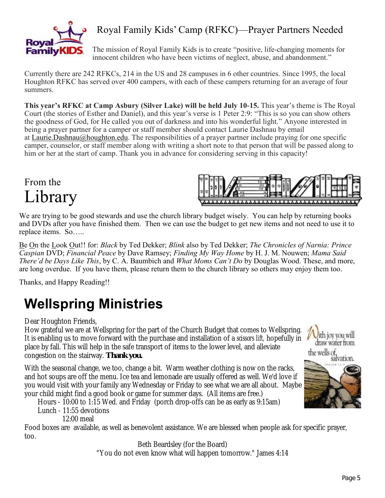

## Royal Family Kids' Camp (RFKC)—Prayer Partners Needed

The mission of Royal Family Kids is to create "positive, life-changing moments for innocent children who have been victims of neglect, abuse, and abandonment."

Currently there are 242 RFKCs, 214 in the US and 28 campuses in 6 other countries. Since 1995, the local Houghton RFKC has served over 400 campers, with each of these campers returning for an average of four summers.

**This year's RFKC at Camp Asbury (Silver Lake) will be held July 10-15.** This year's theme is The Royal Court (the stories of Esther and Daniel), and this year's verse is 1 Peter 2:9: "This is so you can show others the goodness of God, for He called you out of darkness and into his wonderful light." Anyone interested in being a prayer partner for a camper or staff member should contact Laurie Dashnau by email at [Laurie.Dashnau@houghton.edu.](mailto:Laurie.Dashnau@houghton.edu) The responsibilities of a prayer partner include praying for one specific camper, counselor, or staff member along with writing a short note to that person that will be passed along to him or her at the start of camp. Thank you in advance for considering serving in this capacity!

# From the Library



We are trying to be good stewards and use the church library budget wisely. You can help by returning books and DVDs after you have finished them. Then we can use the budget to get new items and not need to use it to replace items. So…..

Be On the Look Out!! for: *Black* by Ted Dekker; *Blink* also by Ted Dekker; *The Chronicles of Narnia: Prince Caspian* DVD; *Financial Peace* by Dave Ramsey; *Finding My Way Home* by H. J. M. Nouwen; *Mama Said There'd be Days Like This*, by C. A. Baumbich and *What Moms Can't Do* by Douglas Wood. These, and more, are long overdue. If you have them, please return them to the church library so others may enjoy them too.

Thanks, and Happy Reading!!

# **Wellspring Ministries**

Dear Houghton Friends,

How grateful we are at Wellspring for the part of the Church Budget that comes to Wellspring. It is enabling us to move forward with the purchase and installation of a *scissors lift,* hopefully in place by fall. This will help in the safe transport of items to the lower level, and alleviate congestion on the stairway. **Thank you.**

With the seasonal change, we too, change a bit. Warm weather clothing is now on the racks, and hot soups are off the menu. Ice tea and lemonade are usually offered as well. We'd love if you would visit with your family any Wednesday or Friday to see what we are all about. Maybe your child might find a good book or game for summer days. (All items are free.)

Hours - 10:00 to 1:15 Wed. and Friday (porch drop-offs can be as early as 9:15am) Lunch - 11:55 devotions

12:00 meal

Food boxes are available, as well as benevolent assistance. We are blessed when people ask for specific prayer, too.

Beth Beardsley (for the Board) "You do not even know what will happen tomorrow." James 4:14

ith iov you will draw water from

salvation.

the wells of,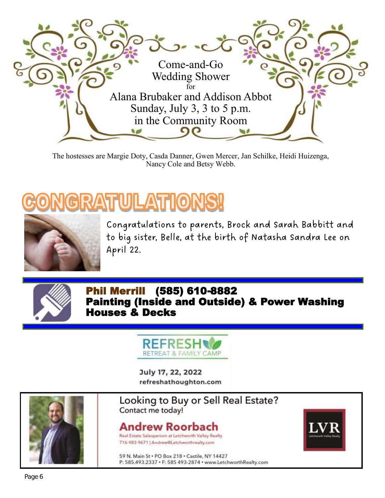

The hostesses are Margie Doty, Casda Danner, Gwen Mercer, Jan Schilke, Heidi Huizenga, Nancy Cole and Betsy Webb.



Congratulations to parents, Brock and Sarah Babbitt and to big sister, Belle, at the birth of Natasha Sandra Lee on April 22.



Phil Merrill (585) 610-8882 Painting (Inside and Outside) & Power Washing Houses & Decks



July 17, 22, 2022 refreshathoughton.com



Looking to Buy or Sell Real Estate? Contact me today!

Andrew Roorbach Real Estate Salesperson at Letchworth Valley Realty 716-983-9671 | Andrew@Letchworthrealty.com

59 N. Main St . PO Box 218 . Castile, NY 14427 P: 585.493.2337 • F: 585 493-2874 • www.LetchworthRealty.com

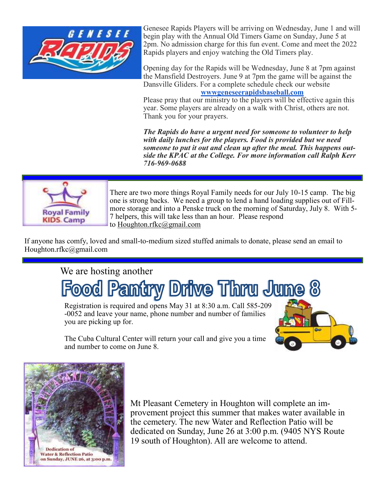

Genesee Rapids Players will be arriving on Wednesday, June 1 and will begin play with the Annual Old Timers Game on Sunday, June 5 at 2pm. No admission charge for this fun event. Come and meet the 2022 Rapids players and enjoy watching the Old Timers play.

Opening day for the Rapids will be Wednesday, June 8 at 7pm against the Mansfield Destroyers. June 9 at 7pm the game will be against the Dansville Gliders. For a complete schedule check our website

#### **[wwwgeneseerapidsbaseball.com](http://wwwgeneseerapidsbaseball.com/)**

Please pray that our ministry to the players will be effective again this year. Some players are already on a walk with Christ, others are not. Thank you for your prayers.

*The Rapids do have a urgent need for someone to volunteer to help with daily lunches for the players. Food is provided but we need someone to put it out and clean up after the meal. This happens outside the KPAC at the College. For more information call Ralph Kerr 716-969-0688*



There are two more things Royal Family needs for our July 10-15 camp. The big one is strong backs. We need a group to lend a hand loading supplies out of Fillmore storage and into a Penske truck on the morning of Saturday, July 8. With 5- 7 helpers, this will take less than an hour. Please respond to [Houghton.rfkc@gmail.com](mailto:Houghton.rfkc@gmail.com)

If anyone has comfy, loved and small-to-medium sized stuffed animals to donate, please send an email to Houghton.rfkc@gmail.com

## We are hosting another

# **Food Pantry Drive Thru June 8**

Registration is required and opens May 31 at 8:30 a.m. Call 585-209 -0052 and leave your name, phone number and number of families you are picking up for.



The Cuba Cultural Center will return your call and give you a time and number to come on June 8.



Mt Pleasant Cemetery in Houghton will complete an improvement project this summer that makes water available in the cemetery. The new Water and Reflection Patio will be dedicated on Sunday, June 26 at 3:00 p.m. (9405 NYS Route 19 south of Houghton). All are welcome to attend.